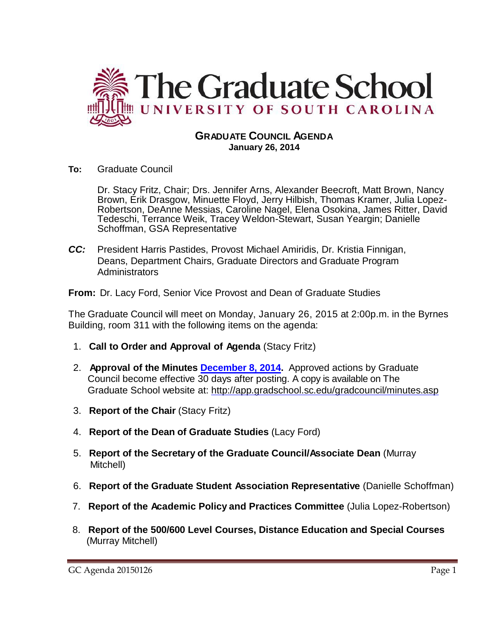

### **GRADUATE COUNCIL AGENDA January 26, 2014**

**To:** Graduate Council

Dr. Stacy Fritz, Chair; Drs. Jennifer Arns, Alexander Beecroft, Matt Brown, Nancy Brown, Erik Drasgow, Minuette Floyd, Jerry Hilbish, Thomas Kramer, Julia Lopez-Robertson, DeAnne Messias, Caroline Nagel, Elena Osokina, James Ritter, David Tedeschi, Terrance Weik, Tracey Weldon-Stewart, Susan Yeargin; Danielle Schoffman, GSA Representative

*CC:* President Harris Pastides, Provost Michael Amiridis, Dr. Kristia Finnigan, Deans, Department Chairs, Graduate Directors and Graduate Program **Administrators** 

**From:** Dr. Lacy Ford, Senior Vice Provost and Dean of Graduate Studies

The Graduate Council will meet on Monday, January 26, 2015 at 2:00p.m. in the Byrnes Building, room 311 with the following items on the agenda:

- 1. **Call to Order and Approval of Agenda** (Stacy Fritz)
- 2. **Approval of the Minutes [December 8, 2014.](http://gradschool.sc.edu/facstaff/gradcouncil/2014/GC%20Minutes%2012%208%2014mm.pdf)** Approved actions by Graduate Council become effective 30 days after posting. A copy is available on The Graduate School website at:<http://app.gradschool.sc.edu/gradcouncil/minutes.asp>
- 3. **Report of the Chair** (Stacy Fritz)
- 4. **Report of the Dean of Graduate Studies** (Lacy Ford)
- 5. **Report of the Secretary of the Graduate Council/Associate Dean** (Murray Mitchell)
- 6. **Report of the Graduate Student Association Representative** (Danielle Schoffman)
- 7. **Report of the Academic Policy and Practices Committee** (Julia Lopez-Robertson)
- 8. **Report of the 500/600 Level Courses, Distance Education and Special Courses** (Murray Mitchell)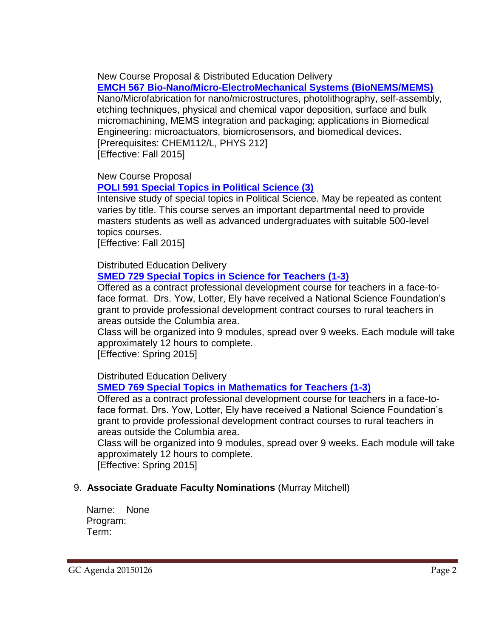New Course Proposal & Distributed Education Delivery

**[EMCH 567 Bio-Nano/Micro-ElectroMechanical Systems \(BioNEMS/MEMS\)](http://gradschool.sc.edu/facstaff/gradcouncil/2014/EMCH%20567%20DED-NCP%20BioNano_Redacted3.pdf)**

Nano/Microfabrication for nano/microstructures, photolithography, self-assembly, etching techniques, physical and chemical vapor deposition, surface and bulk micromachining, MEMS integration and packaging; applications in Biomedical Engineering: microactuators, biomicrosensors, and biomedical devices. [Prerequisites: CHEM112/L, PHYS 212]

[Effective: Fall 2015]

New Course Proposal

### **[POLI 591 Special Topics in Political Science \(3\)](http://gradschool.sc.edu/facstaff/gradcouncil/2014/POLI%20591%20NCP_Redacted.pdf)**

Intensive study of special topics in Political Science. May be repeated as content varies by title. This course serves an important departmental need to provide masters students as well as advanced undergraduates with suitable 500-level topics courses.

[Effective: Fall 2015]

Distributed Education Delivery

### **[SMED 729 Special Topics in Science for Teachers \(1-3\)](http://gradschool.sc.edu/facstaff/gradcouncil/2014/SMED%20729%20DED.pdf)**

Offered as a contract professional development course for teachers in a face-toface format. Drs. Yow, Lotter, Ely have received a National Science Foundation's grant to provide professional development contract courses to rural teachers in areas outside the Columbia area.

Class will be organized into 9 modules, spread over 9 weeks. Each module will take approximately 12 hours to complete.

[Effective: Spring 2015]

# Distributed Education Delivery

# **SMED 769 Special Topics [in Mathematics for Teachers \(1-3\)](http://gradschool.sc.edu/facstaff/gradcouncil/2014/SMED%20769%20DED.pdf)**

Offered as a contract professional development course for teachers in a face-toface format. Drs. Yow, Lotter, Ely have received a National Science Foundation's grant to provide professional development contract courses to rural teachers in areas outside the Columbia area.

Class will be organized into 9 modules, spread over 9 weeks. Each module will take approximately 12 hours to complete. [Effective: Spring 2015]

# 9. **Associate Graduate Faculty Nominations** (Murray Mitchell)

Name: None Program: Term: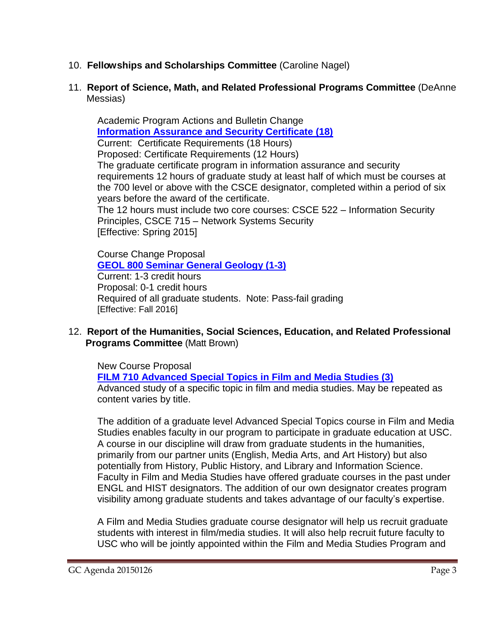- 10. **Fellowships and Scholarships Committee** (Caroline Nagel)
- 11. **Report of Science, Math, and Related Professional Programs Committee** (DeAnne Messias)

Academic Program Actions and Bulletin Change **[Information Assurance and Security Certificate \(18\)](http://gradschool.sc.edu/facstaff/gradcouncil/2014/Computer%20Science%20Info%20Assurance%20APA_Redacted.pdf)** Current: Certificate Requirements (18 Hours) Proposed: Certificate Requirements (12 Hours) The graduate certificate program in information assurance and security requirements 12 hours of graduate study at least half of which must be courses at the 700 level or above with the CSCE designator, completed within a period of six years before the award of the certificate. The 12 hours must include two core courses: CSCE 522 – Information Security Principles, CSCE 715 – Network Systems Security [Effective: Spring 2015]

Course Change Proposal **[GEOL 800 Seminar General Geology \(1-3\)](http://gradschool.sc.edu/facstaff/gradcouncil/2014/GEOL%20800%20Redacted.pdf)** Current: 1-3 credit hours Proposal: 0-1 credit hours Required of all graduate students. Note: Pass-fail grading [Effective: Fall 2016]

12. **Report of the Humanities, Social Sciences, Education, and Related Professional Programs Committee** (Matt Brown)

New Course Proposal

**[FILM 710 Advanced Special Topics in Film and Media Studies \(3\)](http://gradschool.sc.edu/facstaff/gradcouncil/2014/FILM%20710%20NCP_Redacted.pdf)** Advanced study of a specific topic in film and media studies. May be repeated as content varies by title.

The addition of a graduate level Advanced Special Topics course in Film and Media Studies enables faculty in our program to participate in graduate education at USC. A course in our discipline will draw from graduate students in the humanities, primarily from our partner units (English, Media Arts, and Art History) but also potentially from History, Public History, and Library and Information Science. Faculty in Film and Media Studies have offered graduate courses in the past under ENGL and HIST designators. The addition of our own designator creates program visibility among graduate students and takes advantage of our faculty's expertise.

A Film and Media Studies graduate course designator will help us recruit graduate students with interest in film/media studies. It will also help recruit future faculty to USC who will be jointly appointed within the Film and Media Studies Program and